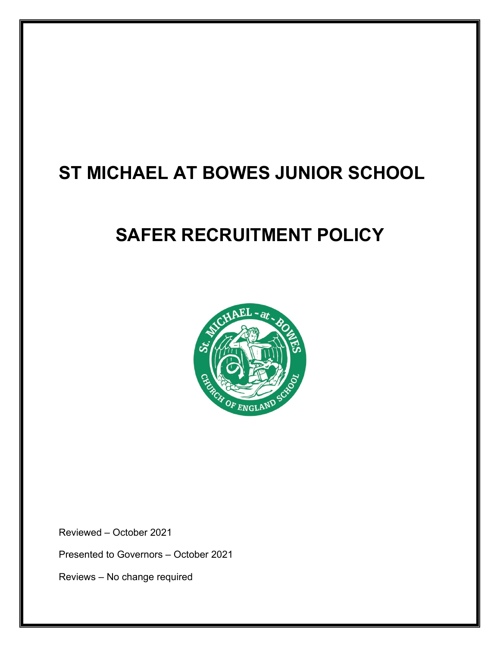# **ST MICHAEL AT BOWES JUNIOR SCHOOL**

# **SAFER RECRUITMENT POLICY**



Reviewed – October 2021

Presented to Governors – October 2021

Reviews – No change required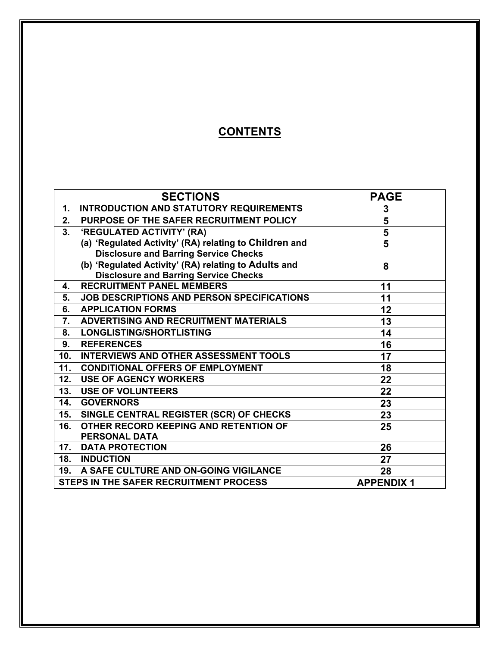# **CONTENTS**

|                                        | <b>SECTIONS</b>                                        | <b>PAGE</b>      |
|----------------------------------------|--------------------------------------------------------|------------------|
| 1.                                     | <b>INTRODUCTION AND STATUTORY REQUIREMENTS</b>         | 3                |
| 2.                                     | PURPOSE OF THE SAFER RECRUITMENT POLICY                | 5                |
| 3.                                     | 'REGULATED ACTIVITY' (RA)                              | 5                |
|                                        | (a) 'Regulated Activity' (RA) relating to Children and | 5                |
|                                        | <b>Disclosure and Barring Service Checks</b>           |                  |
|                                        | (b) 'Regulated Activity' (RA) relating to Adults and   | 8                |
|                                        | <b>Disclosure and Barring Service Checks</b>           |                  |
| 4.                                     | <b>RECRUITMENT PANEL MEMBERS</b>                       | 11               |
| 5.                                     | <b>JOB DESCRIPTIONS AND PERSON SPECIFICATIONS</b>      | 11               |
| 6.                                     | <b>APPLICATION FORMS</b>                               | 12               |
| 7.                                     | <b>ADVERTISING AND RECRUITMENT MATERIALS</b>           | 13               |
| 8.                                     | <b>LONGLISTING/SHORTLISTING</b>                        | 14               |
| 9.                                     | <b>REFERENCES</b>                                      | 16               |
| 10 <sub>1</sub>                        | <b>INTERVIEWS AND OTHER ASSESSMENT TOOLS</b>           | 17               |
| 11.                                    | <b>CONDITIONAL OFFERS OF EMPLOYMENT</b>                | 18               |
| 12.                                    | <b>USE OF AGENCY WORKERS</b>                           | 22               |
| 13.                                    | <b>USE OF VOLUNTEERS</b>                               | 22               |
| 14.                                    | <b>GOVERNORS</b>                                       | 23               |
| 15.                                    | SINGLE CENTRAL REGISTER (SCR) OF CHECKS                | 23               |
| 16.                                    | OTHER RECORD KEEPING AND RETENTION OF                  | 25               |
|                                        | <b>PERSONAL DATA</b>                                   |                  |
| 17.                                    | <b>DATA PROTECTION</b>                                 | 26               |
|                                        | <b>18. INDUCTION</b>                                   | 27               |
| 19.                                    | A SAFE CULTURE AND ON-GOING VIGILANCE                  | 28               |
| STEPS IN THE SAFER RECRUITMENT PROCESS |                                                        | <b>APPENDIX1</b> |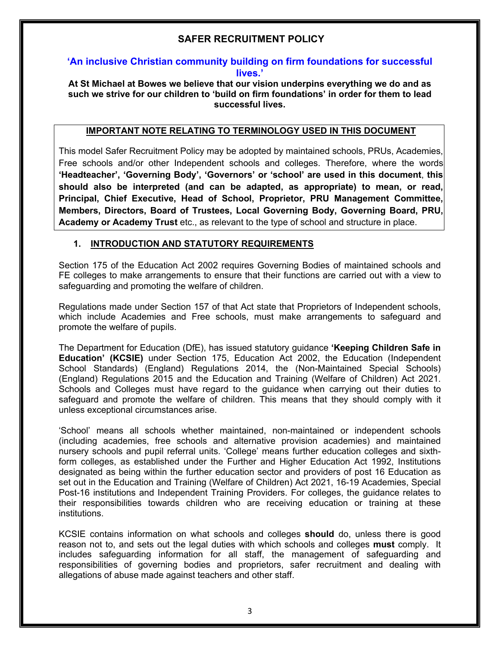# **SAFER RECRUITMENT POLICY**

#### **'An inclusive Christian community building on firm foundations for successful lives.'**

#### **At St Michael at Bowes we believe that our vision underpins everything we do and as such we strive for our children to 'build on firm foundations' in order for them to lead successful lives.**

#### **IMPORTANT NOTE RELATING TO TERMINOLOGY USED IN THIS DOCUMENT**

This model Safer Recruitment Policy may be adopted by maintained schools, PRUs, Academies, Free schools and/or other Independent schools and colleges. Therefore, where the words **'Headteacher', 'Governing Body', 'Governors' or 'school' are used in this document**, **this should also be interpreted (and can be adapted, as appropriate) to mean, or read, Principal, Chief Executive, Head of School, Proprietor, PRU Management Committee, Members, Directors, Board of Trustees, Local Governing Body, Governing Board, PRU, Academy or Academy Trust** etc., as relevant to the type of school and structure in place.

#### **1. INTRODUCTION AND STATUTORY REQUIREMENTS**

Section 175 of the Education Act 2002 requires Governing Bodies of maintained schools and FE colleges to make arrangements to ensure that their functions are carried out with a view to safeguarding and promoting the welfare of children.

Regulations made under Section 157 of that Act state that Proprietors of Independent schools, which include Academies and Free schools, must make arrangements to safeguard and promote the welfare of pupils.

The Department for Education (DfE), has issued statutory guidance **'Keeping Children Safe in Education' (KCSIE)** under Section 175, Education Act 2002, the Education (Independent School Standards) (England) Regulations 2014, the (Non-Maintained Special Schools) (England) Regulations 2015 and the Education and Training (Welfare of Children) Act 2021. Schools and Colleges must have regard to the guidance when carrying out their duties to safeguard and promote the welfare of children. This means that they should comply with it unless exceptional circumstances arise.

'School' means all schools whether maintained, non-maintained or independent schools (including academies, free schools and alternative provision academies) and maintained nursery schools and pupil referral units. 'College' means further education colleges and sixthform colleges, as established under the Further and Higher Education Act 1992, Institutions designated as being within the further education sector and providers of post 16 Education as set out in the Education and Training (Welfare of Children) Act 2021, 16-19 Academies, Special Post-16 institutions and Independent Training Providers. For colleges, the guidance relates to their responsibilities towards children who are receiving education or training at these institutions.

KCSIE contains information on what schools and colleges **should** do, unless there is good reason not to, and sets out the legal duties with which schools and colleges **must** comply. It includes safeguarding information for all staff, the management of safeguarding and responsibilities of governing bodies and proprietors, safer recruitment and dealing with allegations of abuse made against teachers and other staff.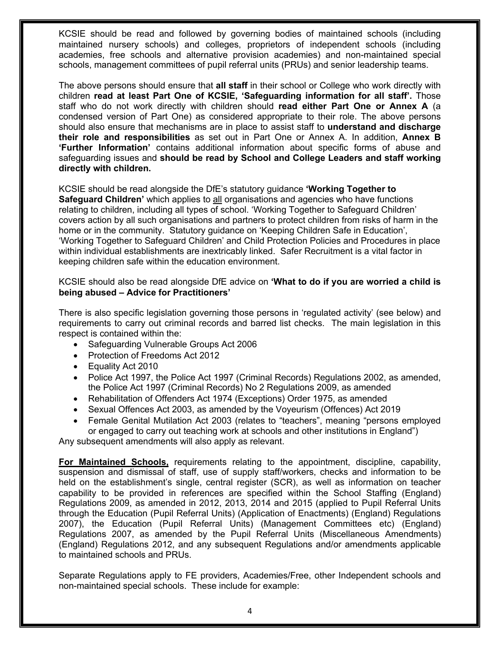KCSIE should be read and followed by governing bodies of maintained schools (including maintained nursery schools) and colleges, proprietors of independent schools (including academies, free schools and alternative provision academies) and non-maintained special schools, management committees of pupil referral units (PRUs) and senior leadership teams.

The above persons should ensure that **all staff** in their school or College who work directly with children **read at least Part One of KCSIE, 'Safeguarding information for all staff'.** Those staff who do not work directly with children should **read either Part One or Annex A** (a condensed version of Part One) as considered appropriate to their role. The above persons should also ensure that mechanisms are in place to assist staff to **understand and discharge their role and responsibilities** as set out in Part One or Annex A. In addition, **Annex B 'Further Information'** contains additional information about specific forms of abuse and safeguarding issues and **should be read by School and College Leaders and staff working directly with children.**

KCSIE should be read alongside the DfE's statutory guidance **'Working Together to Safeguard Children'** which applies to all organisations and agencies who have functions relating to children, including all types of school. 'Working Together to Safeguard Children' covers action by all such organisations and partners to protect children from risks of harm in the home or in the community. Statutory guidance on 'Keeping Children Safe in Education', 'Working Together to Safeguard Children' and Child Protection Policies and Procedures in place within individual establishments are inextricably linked. Safer Recruitment is a vital factor in keeping children safe within the education environment.

#### KCSIE should also be read alongside DfE advice on **'What to do if you are worried a child is being abused – Advice for Practitioners'**

There is also specific legislation governing those persons in 'regulated activity' (see below) and requirements to carry out criminal records and barred list checks. The main legislation in this respect is contained within the:

- Safeguarding Vulnerable Groups Act 2006
- Protection of Freedoms Act 2012
- Equality Act 2010
- Police Act 1997, the Police Act 1997 (Criminal Records) Regulations 2002, as amended, the Police Act 1997 (Criminal Records) No 2 Regulations 2009, as amended
- Rehabilitation of Offenders Act 1974 (Exceptions) Order 1975, as amended
- Sexual Offences Act 2003, as amended by the Voyeurism (Offences) Act 2019
- Female Genital Mutilation Act 2003 (relates to "teachers", meaning "persons employed or engaged to carry out teaching work at schools and other institutions in England")

Any subsequent amendments will also apply as relevant.

**For Maintained Schools,** requirements relating to the appointment, discipline, capability, suspension and dismissal of staff, use of supply staff/workers, checks and information to be held on the establishment's single, central register (SCR), as well as information on teacher capability to be provided in references are specified within the School Staffing (England) Regulations 2009, as amended in 2012, 2013, 2014 and 2015 (applied to Pupil Referral Units through the Education (Pupil Referral Units) (Application of Enactments) (England) Regulations 2007), the Education (Pupil Referral Units) (Management Committees etc) (England) Regulations 2007, as amended by the Pupil Referral Units (Miscellaneous Amendments) (England) Regulations 2012, and any subsequent Regulations and/or amendments applicable to maintained schools and PRUs.

Separate Regulations apply to FE providers, Academies/Free, other Independent schools and non-maintained special schools. These include for example: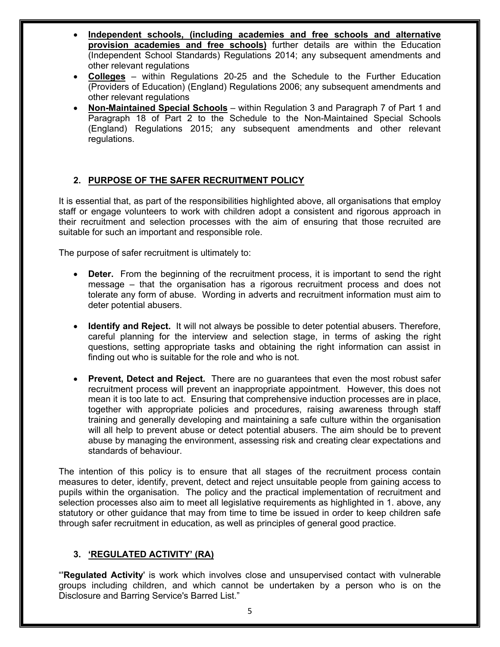- **Independent schools, (including academies and free schools and alternative provision academies and free schools)** further details are within the Education (Independent School Standards) Regulations 2014; any subsequent amendments and other relevant regulations
- **Colleges** within Regulations 20-25 and the Schedule to the Further Education (Providers of Education) (England) Regulations 2006; any subsequent amendments and other relevant regulations
- **Non-Maintained Special Schools** within Regulation 3 and Paragraph 7 of Part 1 and Paragraph 18 of Part 2 to the Schedule to the Non-Maintained Special Schools (England) Regulations 2015; any subsequent amendments and other relevant regulations.

### **2. PURPOSE OF THE SAFER RECRUITMENT POLICY**

It is essential that, as part of the responsibilities highlighted above, all organisations that employ staff or engage volunteers to work with children adopt a consistent and rigorous approach in their recruitment and selection processes with the aim of ensuring that those recruited are suitable for such an important and responsible role.

The purpose of safer recruitment is ultimately to:

- **Deter.** From the beginning of the recruitment process, it is important to send the right message – that the organisation has a rigorous recruitment process and does not tolerate any form of abuse. Wording in adverts and recruitment information must aim to deter potential abusers.
- **Identify and Reject.** It will not always be possible to deter potential abusers. Therefore, careful planning for the interview and selection stage, in terms of asking the right questions, setting appropriate tasks and obtaining the right information can assist in finding out who is suitable for the role and who is not.
- **Prevent, Detect and Reject.** There are no guarantees that even the most robust safer recruitment process will prevent an inappropriate appointment. However, this does not mean it is too late to act. Ensuring that comprehensive induction processes are in place, together with appropriate policies and procedures, raising awareness through staff training and generally developing and maintaining a safe culture within the organisation will all help to prevent abuse or detect potential abusers. The aim should be to prevent abuse by managing the environment, assessing risk and creating clear expectations and standards of behaviour.

The intention of this policy is to ensure that all stages of the recruitment process contain measures to deter, identify, prevent, detect and reject unsuitable people from gaining access to pupils within the organisation. The policy and the practical implementation of recruitment and selection processes also aim to meet all legislative requirements as highlighted in 1. above, any statutory or other guidance that may from time to time be issued in order to keep children safe through safer recruitment in education, as well as principles of general good practice.

### **3. 'REGULATED ACTIVITY' (RA)**

"'**Regulated Activity**' is work which involves close and unsupervised contact with vulnerable groups including children, and which cannot be undertaken by a person who is on the Disclosure and Barring Service's Barred List."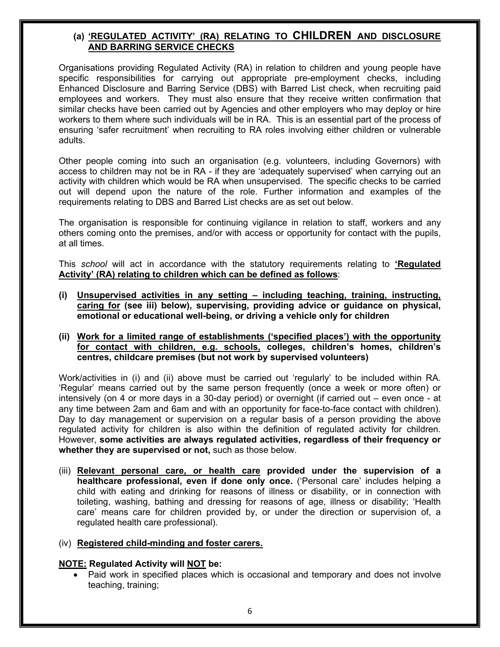### **(a) 'REGULATED ACTIVITY' (RA) RELATING TO CHILDREN AND DISCLOSURE AND BARRING SERVICE CHECKS**

Organisations providing Regulated Activity (RA) in relation to children and young people have specific responsibilities for carrying out appropriate pre-employment checks, including Enhanced Disclosure and Barring Service (DBS) with Barred List check, when recruiting paid employees and workers. They must also ensure that they receive written confirmation that similar checks have been carried out by Agencies and other employers who may deploy or hire workers to them where such individuals will be in RA. This is an essential part of the process of ensuring 'safer recruitment' when recruiting to RA roles involving either children or vulnerable adults.

Other people coming into such an organisation (e.g. volunteers, including Governors) with access to children may not be in RA - if they are 'adequately supervised' when carrying out an activity with children which would be RA when unsupervised. The specific checks to be carried out will depend upon the nature of the role. Further information and examples of the requirements relating to DBS and Barred List checks are as set out below.

The organisation is responsible for continuing vigilance in relation to staff, workers and any others coming onto the premises, and/or with access or opportunity for contact with the pupils, at all times.

This *school* will act in accordance with the statutory requirements relating to **'Regulated Activity' (RA) relating to children which can be defined as follows**:

- **(i) Unsupervised activities in any setting – including teaching, training, instructing, caring for (see iii) below), supervising, providing advice or guidance on physical, emotional or educational well-being, or driving a vehicle only for children**
- **(ii) Work for a limited range of establishments ('specified places') with the opportunity for contact with children, e.g. schools, colleges, children's homes, children's centres, childcare premises (but not work by supervised volunteers)**

Work/activities in (i) and (ii) above must be carried out 'regularly' to be included within RA. 'Regular' means carried out by the same person frequently (once a week or more often) or intensively (on 4 or more days in a 30-day period) or overnight (if carried out – even once - at any time between 2am and 6am and with an opportunity for face-to-face contact with children). Day to day management or supervision on a regular basis of a person providing the above regulated activity for children is also within the definition of regulated activity for children. However, **some activities are always regulated activities, regardless of their frequency or whether they are supervised or not,** such as those below.

(iii) **Relevant personal care, or health care provided under the supervision of a healthcare professional, even if done only once.** ('Personal care' includes helping a child with eating and drinking for reasons of illness or disability, or in connection with toileting, washing, bathing and dressing for reasons of age, illness or disability; 'Health care' means care for children provided by, or under the direction or supervision of, a regulated health care professional).

#### (iv) **Registered child-minding and foster carers.**

#### **NOTE: Regulated Activity will NOT be:**

Paid work in specified places which is occasional and temporary and does not involve teaching, training;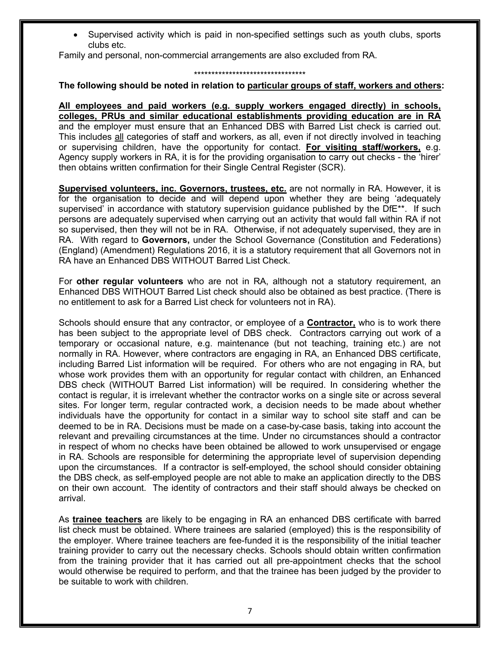• Supervised activity which is paid in non-specified settings such as youth clubs, sports clubs etc.

Family and personal, non-commercial arrangements are also excluded from RA.

#### \*\*\*\*\*\*\*\*\*\*\*\*\*\*\*\*\*\*\*\*\*\*\*\*\*\*\*\*\*\*\*\*

#### **The following should be noted in relation to particular groups of staff, workers and others:**

**All employees and paid workers (e.g. supply workers engaged directly) in schools, colleges, PRUs and similar educational establishments providing education are in RA** and the employer must ensure that an Enhanced DBS with Barred List check is carried out. This includes all categories of staff and workers, as all, even if not directly involved in teaching or supervising children, have the opportunity for contact. **For visiting staff/workers,** e.g. Agency supply workers in RA, it is for the providing organisation to carry out checks - the 'hirer' then obtains written confirmation for their Single Central Register (SCR).

**Supervised volunteers, inc. Governors, trustees, etc.** are not normally in RA. However, it is for the organisation to decide and will depend upon whether they are being 'adequately supervised' in accordance with statutory supervision guidance published by the DfE<sup>\*\*</sup>. If such persons are adequately supervised when carrying out an activity that would fall within RA if not so supervised, then they will not be in RA. Otherwise, if not adequately supervised, they are in RA. With regard to **Governors,** under the School Governance (Constitution and Federations) (England) (Amendment) Regulations 2016, it is a statutory requirement that all Governors not in RA have an Enhanced DBS WITHOUT Barred List Check.

For **other regular volunteers** who are not in RA, although not a statutory requirement, an Enhanced DBS WITHOUT Barred List check should also be obtained as best practice. (There is no entitlement to ask for a Barred List check for volunteers not in RA).

Schools should ensure that any contractor, or employee of a **Contractor,** who is to work there has been subject to the appropriate level of DBS check.Contractors carrying out work of a temporary or occasional nature, e.g. maintenance (but not teaching, training etc.) are not normally in RA. However, where contractors are engaging in RA, an Enhanced DBS certificate, including Barred List information will be required. For others who are not engaging in RA, but whose work provides them with an opportunity for regular contact with children, an Enhanced DBS check (WITHOUT Barred List information) will be required. In considering whether the contact is regular, it is irrelevant whether the contractor works on a single site or across several sites. For longer term, regular contracted work, a decision needs to be made about whether individuals have the opportunity for contact in a similar way to school site staff and can be deemed to be in RA. Decisions must be made on a case-by-case basis, taking into account the relevant and prevailing circumstances at the time. Under no circumstances should a contractor in respect of whom no checks have been obtained be allowed to work unsupervised or engage in RA. Schools are responsible for determining the appropriate level of supervision depending upon the circumstances. If a contractor is self-employed, the school should consider obtaining the DBS check, as self-employed people are not able to make an application directly to the DBS on their own account. The identity of contractors and their staff should always be checked on arrival.

As **trainee teachers** are likely to be engaging in RA an enhanced DBS certificate with barred list check must be obtained. Where trainees are salaried (employed) this is the responsibility of the employer. Where trainee teachers are fee-funded it is the responsibility of the initial teacher training provider to carry out the necessary checks. Schools should obtain written confirmation from the training provider that it has carried out all pre-appointment checks that the school would otherwise be required to perform, and that the trainee has been judged by the provider to be suitable to work with children.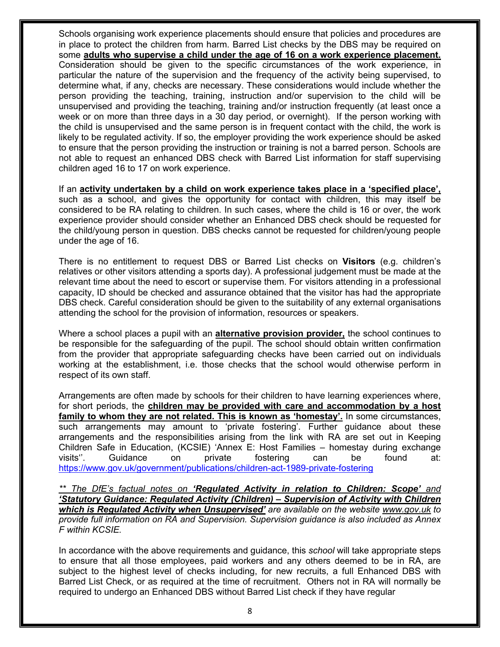Schools organising work experience placements should ensure that policies and procedures are in place to protect the children from harm. Barred List checks by the DBS may be required on some **adults who supervise a child under the age of 16 on a work experience placement.** Consideration should be given to the specific circumstances of the work experience, in particular the nature of the supervision and the frequency of the activity being supervised, to determine what, if any, checks are necessary. These considerations would include whether the person providing the teaching, training, instruction and/or supervision to the child will be unsupervised and providing the teaching, training and/or instruction frequently (at least once a week or on more than three days in a 30 day period, or overnight). If the person working with the child is unsupervised and the same person is in frequent contact with the child, the work is likely to be regulated activity. If so, the employer providing the work experience should be asked to ensure that the person providing the instruction or training is not a barred person. Schools are not able to request an enhanced DBS check with Barred List information for staff supervising children aged 16 to 17 on work experience.

If an **activity undertaken by a child on work experience takes place in a 'specified place',** such as a school, and gives the opportunity for contact with children, this may itself be considered to be RA relating to children. In such cases, where the child is 16 or over, the work experience provider should consider whether an Enhanced DBS check should be requested for the child/young person in question. DBS checks cannot be requested for children/young people under the age of 16.

There is no entitlement to request DBS or Barred List checks on **Visitors** (e.g. children's relatives or other visitors attending a sports day). A professional judgement must be made at the relevant time about the need to escort or supervise them. For visitors attending in a professional capacity, ID should be checked and assurance obtained that the visitor has had the appropriate DBS check. Careful consideration should be given to the suitability of any external organisations attending the school for the provision of information, resources or speakers.

Where a school places a pupil with an **alternative provision provider,** the school continues to be responsible for the safeguarding of the pupil. The school should obtain written confirmation from the provider that appropriate safeguarding checks have been carried out on individuals working at the establishment, i.e. those checks that the school would otherwise perform in respect of its own staff.

Arrangements are often made by schools for their children to have learning experiences where, for short periods, the **children may be provided with care and accommodation by a host family to whom they are not related. This is known as 'homestay'.** In some circumstances, such arrangements may amount to 'private fostering'. Further guidance about these arrangements and the responsibilities arising from the link with RA are set out in Keeping Children Safe in Education, (KCSIE) 'Annex E: Host Families – homestay during exchange visits''. Guidance on private fostering can be found at: https://www.gov.uk/government/publications/children-act-1989-private-fostering

*\*\* The DfE's factual notes on 'Regulated Activity in relation to Children: Scope' and 'Statutory Guidance: Regulated Activity (Children) – Supervision of Activity with Children which is Regulated Activity when Unsupervised' are available on the website www.gov.uk to provide full information on RA and Supervision. Supervision guidance is also included as Annex F within KCSIE.*

In accordance with the above requirements and guidance, this *school* will take appropriate steps to ensure that all those employees, paid workers and any others deemed to be in RA, are subject to the highest level of checks including, for new recruits, a full Enhanced DBS with Barred List Check, or as required at the time of recruitment. Others not in RA will normally be required to undergo an Enhanced DBS without Barred List check if they have regular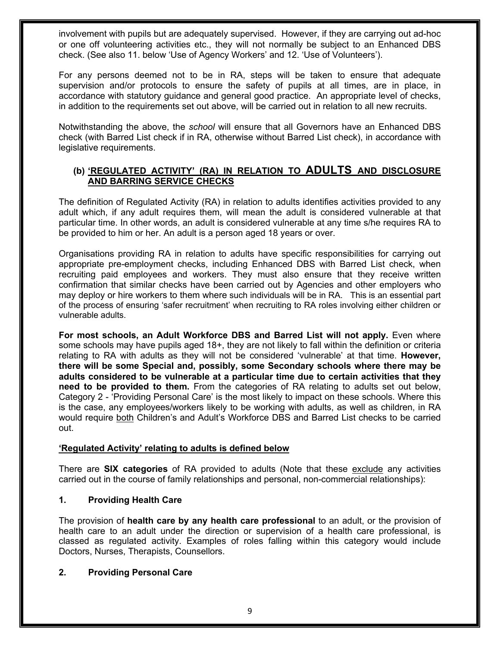involvement with pupils but are adequately supervised. However, if they are carrying out ad-hoc or one off volunteering activities etc., they will not normally be subject to an Enhanced DBS check. (See also 11. below 'Use of Agency Workers' and 12. 'Use of Volunteers').

For any persons deemed not to be in RA, steps will be taken to ensure that adequate supervision and/or protocols to ensure the safety of pupils at all times, are in place, in accordance with statutory guidance and general good practice. An appropriate level of checks, in addition to the requirements set out above, will be carried out in relation to all new recruits.

Notwithstanding the above, the *school* will ensure that all Governors have an Enhanced DBS check (with Barred List check if in RA, otherwise without Barred List check), in accordance with legislative requirements.

#### **(b) 'REGULATED ACTIVITY' (RA) IN RELATION TO ADULTS AND DISCLOSURE AND BARRING SERVICE CHECKS**

The definition of Regulated Activity (RA) in relation to adults identifies activities provided to any adult which, if any adult requires them, will mean the adult is considered vulnerable at that particular time. In other words, an adult is considered vulnerable at any time s/he requires RA to be provided to him or her. An adult is a person aged 18 years or over.

Organisations providing RA in relation to adults have specific responsibilities for carrying out appropriate pre-employment checks, including Enhanced DBS with Barred List check, when recruiting paid employees and workers. They must also ensure that they receive written confirmation that similar checks have been carried out by Agencies and other employers who may deploy or hire workers to them where such individuals will be in RA. This is an essential part of the process of ensuring 'safer recruitment' when recruiting to RA roles involving either children or vulnerable adults.

**For most schools, an Adult Workforce DBS and Barred List will not apply.** Even where some schools may have pupils aged 18+, they are not likely to fall within the definition or criteria relating to RA with adults as they will not be considered 'vulnerable' at that time. **However, there will be some Special and, possibly, some Secondary schools where there may be adults considered to be vulnerable at a particular time due to certain activities that they need to be provided to them.** From the categories of RA relating to adults set out below, Category 2 - 'Providing Personal Care' is the most likely to impact on these schools. Where this is the case, any employees/workers likely to be working with adults, as well as children, in RA would require both Children's and Adult's Workforce DBS and Barred List checks to be carried out.

#### **'Regulated Activity' relating to adults is defined below**

There are **SIX categories** of RA provided to adults (Note that these exclude any activities carried out in the course of family relationships and personal, non-commercial relationships):

#### **1. Providing Health Care**

The provision of **health care by any health care professional** to an adult, or the provision of health care to an adult under the direction or supervision of a health care professional, is classed as regulated activity. Examples of roles falling within this category would include Doctors, Nurses, Therapists, Counsellors.

### **2. Providing Personal Care**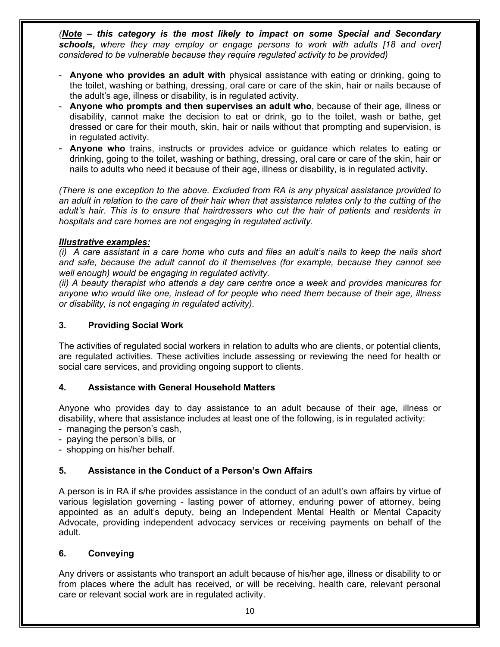*(Note – this category is the most likely to impact on some Special and Secondary schools, where they may employ or engage persons to work with adults [18 and over] considered to be vulnerable because they require regulated activity to be provided)*

- **Anyone who provides an adult with** physical assistance with eating or drinking, going to the toilet, washing or bathing, dressing, oral care or care of the skin, hair or nails because of the adult's age, illness or disability, is in regulated activity.
- **Anyone who prompts and then supervises an adult who**, because of their age, illness or disability, cannot make the decision to eat or drink, go to the toilet, wash or bathe, get dressed or care for their mouth, skin, hair or nails without that prompting and supervision, is in regulated activity.
- **Anyone who** trains, instructs or provides advice or guidance which relates to eating or drinking, going to the toilet, washing or bathing, dressing, oral care or care of the skin, hair or nails to adults who need it because of their age, illness or disability, is in regulated activity.

*(There is one exception to the above. Excluded from RA is any physical assistance provided to an adult in relation to the care of their hair when that assistance relates only to the cutting of the adult's hair. This is to ensure that hairdressers who cut the hair of patients and residents in hospitals and care homes are not engaging in regulated activity.* 

#### *Illustrative examples:*

*(i) A care assistant in a care home who cuts and files an adult's nails to keep the nails short and safe, because the adult cannot do it themselves (for example, because they cannot see well enough) would be engaging in regulated activity.* 

*(ii) A beauty therapist who attends a day care centre once a week and provides manicures for anyone who would like one, instead of for people who need them because of their age, illness or disability, is not engaging in regulated activity).* 

#### **3. Providing Social Work**

The activities of regulated social workers in relation to adults who are clients, or potential clients, are regulated activities. These activities include assessing or reviewing the need for health or social care services, and providing ongoing support to clients.

#### **4. Assistance with General Household Matters**

Anyone who provides day to day assistance to an adult because of their age, illness or disability, where that assistance includes at least one of the following, is in regulated activity:

- managing the person's cash,
- paying the person's bills, or
- shopping on his/her behalf.

#### **5. Assistance in the Conduct of a Person's Own Affairs**

A person is in RA if s/he provides assistance in the conduct of an adult's own affairs by virtue of various legislation governing - lasting power of attorney, enduring power of attorney, being appointed as an adult's deputy, being an Independent Mental Health or Mental Capacity Advocate, providing independent advocacy services or receiving payments on behalf of the adult.

#### **6. Conveying**

Any drivers or assistants who transport an adult because of his/her age, illness or disability to or from places where the adult has received, or will be receiving, health care, relevant personal care or relevant social work are in regulated activity.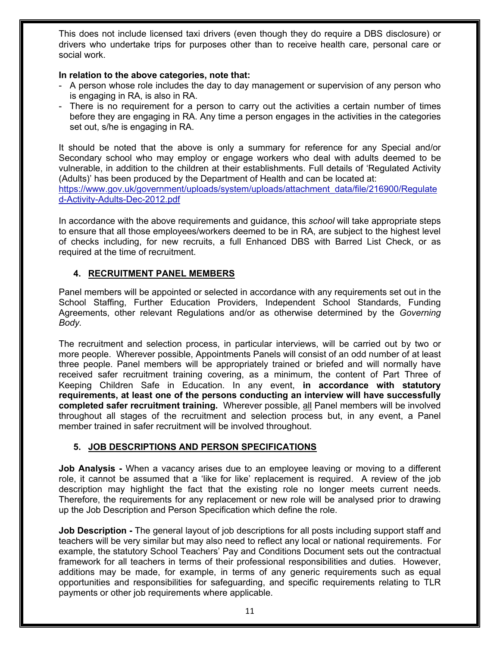This does not include licensed taxi drivers (even though they do require a DBS disclosure) or drivers who undertake trips for purposes other than to receive health care, personal care or social work.

#### **In relation to the above categories, note that:**

- A person whose role includes the day to day management or supervision of any person who is engaging in RA, is also in RA.
- There is no requirement for a person to carry out the activities a certain number of times before they are engaging in RA. Any time a person engages in the activities in the categories set out, s/he is engaging in RA.

It should be noted that the above is only a summary for reference for any Special and/or Secondary school who may employ or engage workers who deal with adults deemed to be vulnerable, in addition to the children at their establishments. Full details of 'Regulated Activity (Adults)' has been produced by the Department of Health and can be located at:

https://www.gov.uk/government/uploads/system/uploads/attachment\_data/file/216900/Regulate d-Activity-Adults-Dec-2012.pdf

In accordance with the above requirements and guidance, this *school* will take appropriate steps to ensure that all those employees/workers deemed to be in RA, are subject to the highest level of checks including, for new recruits, a full Enhanced DBS with Barred List Check, or as required at the time of recruitment.

### **4. RECRUITMENT PANEL MEMBERS**

Panel members will be appointed or selected in accordance with any requirements set out in the School Staffing, Further Education Providers, Independent School Standards, Funding Agreements, other relevant Regulations and/or as otherwise determined by the *Governing Body.*

The recruitment and selection process, in particular interviews, will be carried out by two or more people. Wherever possible, Appointments Panels will consist of an odd number of at least three people. Panel members will be appropriately trained or briefed and will normally have received safer recruitment training covering, as a minimum, the content of Part Three of Keeping Children Safe in Education. In any event, **in accordance with statutory requirements, at least one of the persons conducting an interview will have successfully completed safer recruitment training.** Wherever possible, all Panel members will be involved throughout all stages of the recruitment and selection process but, in any event, a Panel member trained in safer recruitment will be involved throughout.

### **5. JOB DESCRIPTIONS AND PERSON SPECIFICATIONS**

**Job Analysis -** When a vacancy arises due to an employee leaving or moving to a different role, it cannot be assumed that a 'like for like' replacement is required. A review of the job description may highlight the fact that the existing role no longer meets current needs. Therefore, the requirements for any replacement or new role will be analysed prior to drawing up the Job Description and Person Specification which define the role.

**Job Description -** The general layout of job descriptions for all posts including support staff and teachers will be very similar but may also need to reflect any local or national requirements. For example, the statutory School Teachers' Pay and Conditions Document sets out the contractual framework for all teachers in terms of their professional responsibilities and duties. However, additions may be made, for example, in terms of any generic requirements such as equal opportunities and responsibilities for safeguarding, and specific requirements relating to TLR payments or other job requirements where applicable.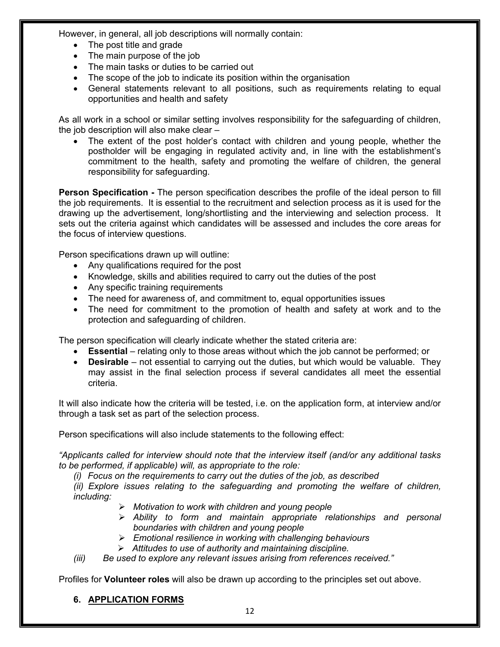However, in general, all job descriptions will normally contain:

- The post title and grade
- The main purpose of the job
- The main tasks or duties to be carried out
- The scope of the job to indicate its position within the organisation
- General statements relevant to all positions, such as requirements relating to equal opportunities and health and safety

As all work in a school or similar setting involves responsibility for the safeguarding of children, the job description will also make clear –

• The extent of the post holder's contact with children and young people, whether the postholder will be engaging in regulated activity and, in line with the establishment's commitment to the health, safety and promoting the welfare of children, the general responsibility for safeguarding.

**Person Specification -** The person specification describes the profile of the ideal person to fill the job requirements. It is essential to the recruitment and selection process as it is used for the drawing up the advertisement, long/shortlisting and the interviewing and selection process. It sets out the criteria against which candidates will be assessed and includes the core areas for the focus of interview questions.

Person specifications drawn up will outline:

- Any qualifications required for the post
- Knowledge, skills and abilities required to carry out the duties of the post
- Any specific training requirements
- The need for awareness of, and commitment to, equal opportunities issues
- The need for commitment to the promotion of health and safety at work and to the protection and safeguarding of children.

The person specification will clearly indicate whether the stated criteria are:

- **Essential** relating only to those areas without which the job cannot be performed; or
- **Desirable** not essential to carrying out the duties, but which would be valuable. They may assist in the final selection process if several candidates all meet the essential criteria.

It will also indicate how the criteria will be tested, i.e. on the application form, at interview and/or through a task set as part of the selection process.

Person specifications will also include statements to the following effect:

*"Applicants called for interview should note that the interview itself (and/or any additional tasks to be performed, if applicable) will, as appropriate to the role:*

*(i) Focus on the requirements to carry out the duties of the job, as described*

*(ii) Explore issues relating to the safeguarding and promoting the welfare of children, including:*

- Ø *Motivation to work with children and young people*
- Ø *Ability to form and maintain appropriate relationships and personal boundaries with children and young people*
- Ø *Emotional resilience in working with challenging behaviours*
- Ø *Attitudes to use of authority and maintaining discipline.*

*(iii) Be used to explore any relevant issues arising from references received."*

Profiles for **Volunteer roles** will also be drawn up according to the principles set out above.

**6. APPLICATION FORMS**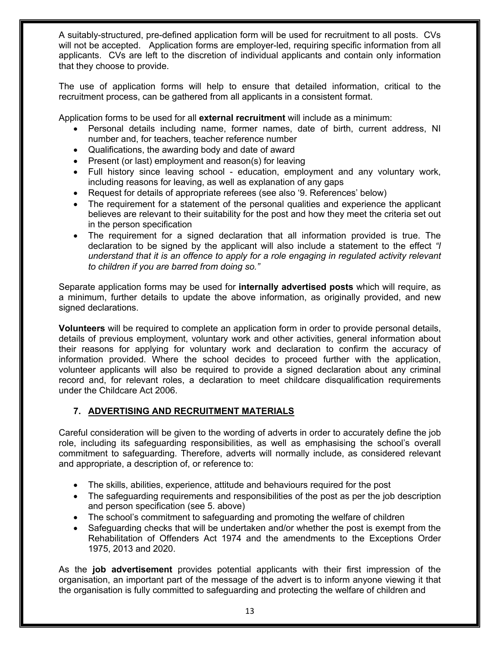A suitably-structured, pre-defined application form will be used for recruitment to all posts. CVs will not be accepted. Application forms are employer-led, requiring specific information from all applicants. CVs are left to the discretion of individual applicants and contain only information that they choose to provide.

The use of application forms will help to ensure that detailed information, critical to the recruitment process, can be gathered from all applicants in a consistent format.

Application forms to be used for all **external recruitment** will include as a minimum:

- Personal details including name, former names, date of birth, current address, NI number and, for teachers, teacher reference number
- Qualifications, the awarding body and date of award
- Present (or last) employment and reason(s) for leaving
- Full history since leaving school education, employment and any voluntary work, including reasons for leaving, as well as explanation of any gaps
- Request for details of appropriate referees (see also '9. References' below)
- The requirement for a statement of the personal qualities and experience the applicant believes are relevant to their suitability for the post and how they meet the criteria set out in the person specification
- The requirement for a signed declaration that all information provided is true. The declaration to be signed by the applicant will also include a statement to the effect *"I understand that it is an offence to apply for a role engaging in regulated activity relevant to children if you are barred from doing so."*

Separate application forms may be used for **internally advertised posts** which will require, as a minimum, further details to update the above information, as originally provided, and new signed declarations.

**Volunteers** will be required to complete an application form in order to provide personal details, details of previous employment, voluntary work and other activities, general information about their reasons for applying for voluntary work and declaration to confirm the accuracy of information provided. Where the school decides to proceed further with the application, volunteer applicants will also be required to provide a signed declaration about any criminal record and, for relevant roles, a declaration to meet childcare disqualification requirements under the Childcare Act 2006.

### **7. ADVERTISING AND RECRUITMENT MATERIALS**

Careful consideration will be given to the wording of adverts in order to accurately define the job role, including its safeguarding responsibilities, as well as emphasising the school's overall commitment to safeguarding. Therefore, adverts will normally include, as considered relevant and appropriate, a description of, or reference to:

- The skills, abilities, experience, attitude and behaviours required for the post
- The safeguarding requirements and responsibilities of the post as per the job description and person specification (see 5. above)
- The school's commitment to safeguarding and promoting the welfare of children
- Safeguarding checks that will be undertaken and/or whether the post is exempt from the Rehabilitation of Offenders Act 1974 and the amendments to the Exceptions Order 1975, 2013 and 2020.

As the **job advertisement** provides potential applicants with their first impression of the organisation, an important part of the message of the advert is to inform anyone viewing it that the organisation is fully committed to safeguarding and protecting the welfare of children and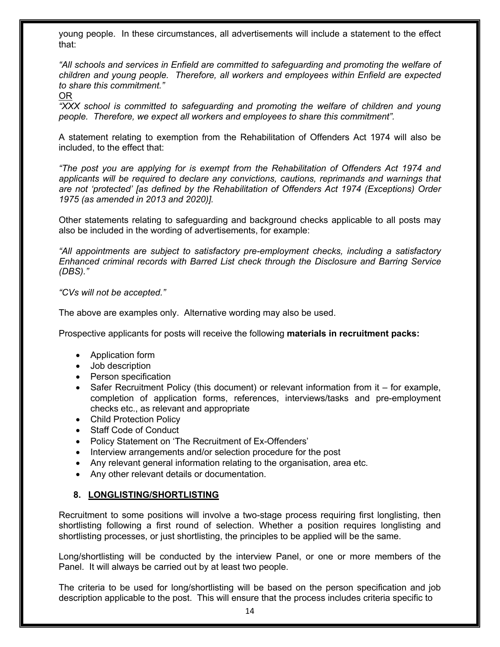young people. In these circumstances, all advertisements will include a statement to the effect that:

*"All schools and services in Enfield are committed to safeguarding and promoting the welfare of children and young people. Therefore, all workers and employees within Enfield are expected to share this commitment."*

OR

*"XXX school is committed to safeguarding and promoting the welfare of children and young people. Therefore, we expect all workers and employees to share this commitment".*

A statement relating to exemption from the Rehabilitation of Offenders Act 1974 will also be included, to the effect that:

*"The post you are applying for is exempt from the Rehabilitation of Offenders Act 1974 and applicants will be required to declare any convictions, cautions, reprimands and warnings that are not 'protected' [as defined by the Rehabilitation of Offenders Act 1974 (Exceptions) Order 1975 (as amended in 2013 and 2020)].* 

Other statements relating to safeguarding and background checks applicable to all posts may also be included in the wording of advertisements, for example:

*"All appointments are subject to satisfactory pre-employment checks, including a satisfactory Enhanced criminal records with Barred List check through the Disclosure and Barring Service (DBS)."* 

*"CVs will not be accepted."*

The above are examples only. Alternative wording may also be used.

Prospective applicants for posts will receive the following **materials in recruitment packs:**

- Application form
- Job description
- Person specification
- Safer Recruitment Policy (this document) or relevant information from it for example, completion of application forms, references, interviews/tasks and pre-employment checks etc., as relevant and appropriate
- Child Protection Policy
- Staff Code of Conduct
- Policy Statement on 'The Recruitment of Ex-Offenders'
- Interview arrangements and/or selection procedure for the post
- Any relevant general information relating to the organisation, area etc.
- Any other relevant details or documentation.

#### **8. LONGLISTING/SHORTLISTING**

Recruitment to some positions will involve a two-stage process requiring first longlisting, then shortlisting following a first round of selection. Whether a position requires longlisting and shortlisting processes, or just shortlisting, the principles to be applied will be the same.

Long/shortlisting will be conducted by the interview Panel, or one or more members of the Panel. It will always be carried out by at least two people.

The criteria to be used for long/shortlisting will be based on the person specification and job description applicable to the post. This will ensure that the process includes criteria specific to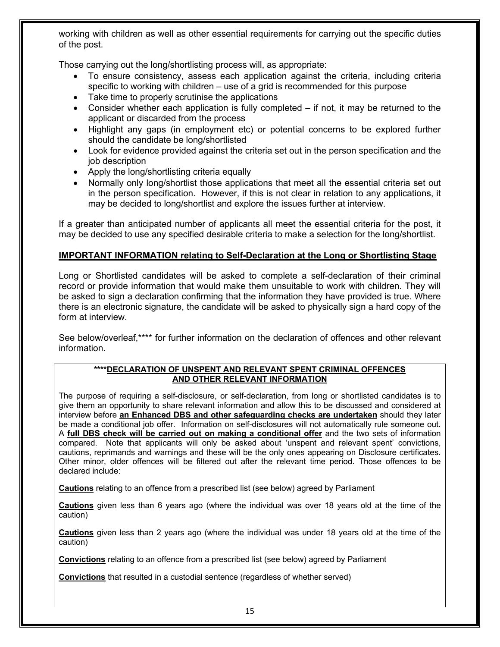working with children as well as other essential requirements for carrying out the specific duties of the post.

Those carrying out the long/shortlisting process will, as appropriate:

- To ensure consistency, assess each application against the criteria, including criteria specific to working with children – use of a grid is recommended for this purpose
- Take time to properly scrutinise the applications
- Consider whether each application is fully completed if not, it may be returned to the applicant or discarded from the process
- Highlight any gaps (in employment etc) or potential concerns to be explored further should the candidate be long/shortlisted
- Look for evidence provided against the criteria set out in the person specification and the job description
- Apply the long/shortlisting criteria equally
- Normally only long/shortlist those applications that meet all the essential criteria set out in the person specification. However, if this is not clear in relation to any applications, it may be decided to long/shortlist and explore the issues further at interview.

If a greater than anticipated number of applicants all meet the essential criteria for the post, it may be decided to use any specified desirable criteria to make a selection for the long/shortlist.

#### **IMPORTANT INFORMATION relating to Self-Declaration at the Long or Shortlisting Stage**

Long or Shortlisted candidates will be asked to complete a self-declaration of their criminal record or provide information that would make them unsuitable to work with children. They will be asked to sign a declaration confirming that the information they have provided is true. Where there is an electronic signature, the candidate will be asked to physically sign a hard copy of the form at interview.

See below/overleaf,\*\*\*\* for further information on the declaration of offences and other relevant information.

#### **\*\*\*\*DECLARATION OF UNSPENT AND RELEVANT SPENT CRIMINAL OFFENCES AND OTHER RELEVANT INFORMATION**

The purpose of requiring a self-disclosure, or self-declaration, from long or shortlisted candidates is to give them an opportunity to share relevant information and allow this to be discussed and considered at interview before **an Enhanced DBS and other safeguarding checks are undertaken** should they later be made a conditional job offer. Information on self-disclosures will not automatically rule someone out. A **full DBS check will be carried out on making a conditional offer** and the two sets of information compared. Note that applicants will only be asked about 'unspent and relevant spent' convictions, cautions, reprimands and warnings and these will be the only ones appearing on Disclosure certificates. Other minor, older offences will be filtered out after the relevant time period. Those offences to be declared include:

**Cautions** relating to an offence from a prescribed list (see below) agreed by Parliament

**Cautions** given less than 6 years ago (where the individual was over 18 years old at the time of the caution)

**Cautions** given less than 2 years ago (where the individual was under 18 years old at the time of the caution)

**Convictions** relating to an offence from a prescribed list (see below) agreed by Parliament

**Convictions** that resulted in a custodial sentence (regardless of whether served)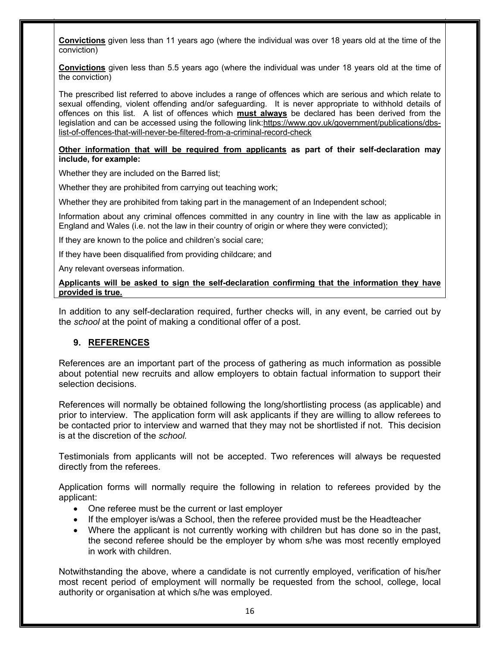**Convictions** given less than 11 years ago (where the individual was over 18 years old at the time of the conviction)

**Convictions** given less than 5.5 years ago (where the individual was under 18 years old at the time of the conviction)

The prescribed list referred to above includes a range of offences which are serious and which relate to sexual offending, violent offending and/or safeguarding. It is never appropriate to withhold details of offences on this list. A list of offences which **must always** be declared has been derived from the legislation and can be accessed using the following link:https://www.gov.uk/government/publications/dbslist-of-offences-that-will-never-be-filtered-from-a-criminal-record-check

#### **Other information that will be required from applicants as part of their self-declaration may include, for example:**

Whether they are included on the Barred list;

Whether they are prohibited from carrying out teaching work;

Whether they are prohibited from taking part in the management of an Independent school;

Information about any criminal offences committed in any country in line with the law as applicable in England and Wales (i.e. not the law in their country of origin or where they were convicted);

If they are known to the police and children's social care;

If they have been disqualified from providing childcare; and

Any relevant overseas information.

#### **Applicants will be asked to sign the self-declaration confirming that the information they have provided is true.**

In addition to any self-declaration required, further checks will, in any event, be carried out by the *school* at the point of making a conditional offer of a post.

#### **9. REFERENCES**

References are an important part of the process of gathering as much information as possible about potential new recruits and allow employers to obtain factual information to support their selection decisions.

References will normally be obtained following the long/shortlisting process (as applicable) and prior to interview. The application form will ask applicants if they are willing to allow referees to be contacted prior to interview and warned that they may not be shortlisted if not. This decision is at the discretion of the *school.* 

Testimonials from applicants will not be accepted. Two references will always be requested directly from the referees.

Application forms will normally require the following in relation to referees provided by the applicant:

- One referee must be the current or last employer
- If the employer is/was a School, then the referee provided must be the Headteacher
- Where the applicant is not currently working with children but has done so in the past, the second referee should be the employer by whom s/he was most recently employed in work with children.

Notwithstanding the above, where a candidate is not currently employed, verification of his/her most recent period of employment will normally be requested from the school, college, local authority or organisation at which s/he was employed.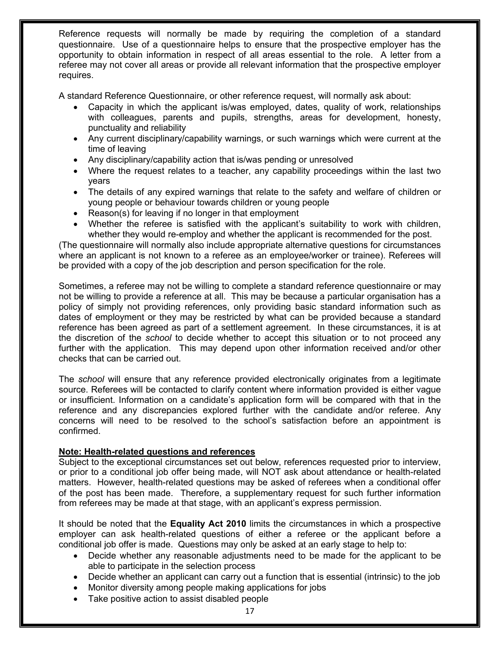Reference requests will normally be made by requiring the completion of a standard questionnaire. Use of a questionnaire helps to ensure that the prospective employer has the opportunity to obtain information in respect of all areas essential to the role. A letter from a referee may not cover all areas or provide all relevant information that the prospective employer requires.

A standard Reference Questionnaire, or other reference request, will normally ask about:

- Capacity in which the applicant is/was employed, dates, quality of work, relationships with colleagues, parents and pupils, strengths, areas for development, honesty, punctuality and reliability
- Any current disciplinary/capability warnings, or such warnings which were current at the time of leaving
- Any disciplinary/capability action that is/was pending or unresolved
- Where the request relates to a teacher, any capability proceedings within the last two years
- The details of any expired warnings that relate to the safety and welfare of children or young people or behaviour towards children or young people
- Reason(s) for leaving if no longer in that employment
- Whether the referee is satisfied with the applicant's suitability to work with children, whether they would re-employ and whether the applicant is recommended for the post.

(The questionnaire will normally also include appropriate alternative questions for circumstances where an applicant is not known to a referee as an employee/worker or trainee). Referees will be provided with a copy of the job description and person specification for the role.

Sometimes, a referee may not be willing to complete a standard reference questionnaire or may not be willing to provide a reference at all. This may be because a particular organisation has a policy of simply not providing references, only providing basic standard information such as dates of employment or they may be restricted by what can be provided because a standard reference has been agreed as part of a settlement agreement. In these circumstances, it is at the discretion of the *school* to decide whether to accept this situation or to not proceed any further with the application. This may depend upon other information received and/or other checks that can be carried out.

The *school* will ensure that any reference provided electronically originates from a legitimate source. Referees will be contacted to clarify content where information provided is either vague or insufficient. Information on a candidate's application form will be compared with that in the reference and any discrepancies explored further with the candidate and/or referee. Any concerns will need to be resolved to the school's satisfaction before an appointment is confirmed.

#### **Note: Health-related questions and references**

Subject to the exceptional circumstances set out below, references requested prior to interview, or prior to a conditional job offer being made, will NOT ask about attendance or health-related matters. However, health-related questions may be asked of referees when a conditional offer of the post has been made. Therefore, a supplementary request for such further information from referees may be made at that stage, with an applicant's express permission.

It should be noted that the **Equality Act 2010** limits the circumstances in which a prospective employer can ask health-related questions of either a referee or the applicant before a conditional job offer is made. Questions may only be asked at an early stage to help to:

- Decide whether any reasonable adjustments need to be made for the applicant to be able to participate in the selection process
- Decide whether an applicant can carry out a function that is essential (intrinsic) to the job
- Monitor diversity among people making applications for jobs
- Take positive action to assist disabled people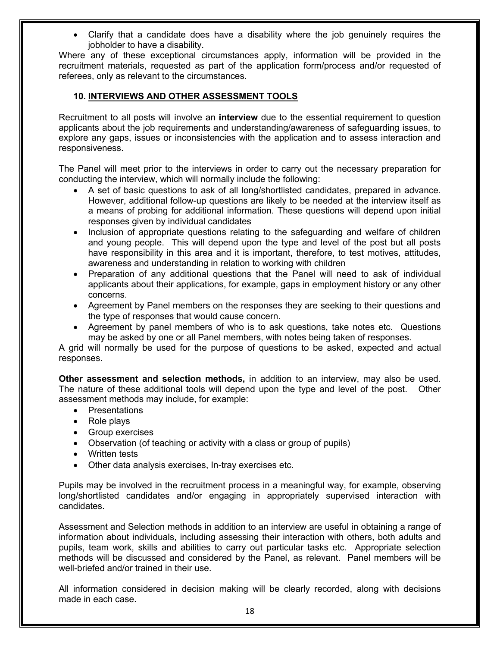• Clarify that a candidate does have a disability where the job genuinely requires the jobholder to have a disability.

Where any of these exceptional circumstances apply, information will be provided in the recruitment materials, requested as part of the application form/process and/or requested of referees, only as relevant to the circumstances.

#### **10. INTERVIEWS AND OTHER ASSESSMENT TOOLS**

Recruitment to all posts will involve an **interview** due to the essential requirement to question applicants about the job requirements and understanding/awareness of safeguarding issues, to explore any gaps, issues or inconsistencies with the application and to assess interaction and responsiveness.

The Panel will meet prior to the interviews in order to carry out the necessary preparation for conducting the interview, which will normally include the following:

- A set of basic questions to ask of all long/shortlisted candidates, prepared in advance. However, additional follow-up questions are likely to be needed at the interview itself as a means of probing for additional information. These questions will depend upon initial responses given by individual candidates
- Inclusion of appropriate questions relating to the safeguarding and welfare of children and young people. This will depend upon the type and level of the post but all posts have responsibility in this area and it is important, therefore, to test motives, attitudes, awareness and understanding in relation to working with children
- Preparation of any additional questions that the Panel will need to ask of individual applicants about their applications, for example, gaps in employment history or any other concerns.
- Agreement by Panel members on the responses they are seeking to their questions and the type of responses that would cause concern.
- Agreement by panel members of who is to ask questions, take notes etc. Questions may be asked by one or all Panel members, with notes being taken of responses.

A grid will normally be used for the purpose of questions to be asked, expected and actual responses.

**Other assessment and selection methods,** in addition to an interview, may also be used. The nature of these additional tools will depend upon the type and level of the post. Other assessment methods may include, for example:

- Presentations
- Role plays
- Group exercises
- Observation (of teaching or activity with a class or group of pupils)
- Written tests
- Other data analysis exercises, In-tray exercises etc.

Pupils may be involved in the recruitment process in a meaningful way, for example, observing long/shortlisted candidates and/or engaging in appropriately supervised interaction with candidates.

Assessment and Selection methods in addition to an interview are useful in obtaining a range of information about individuals, including assessing their interaction with others, both adults and pupils, team work, skills and abilities to carry out particular tasks etc. Appropriate selection methods will be discussed and considered by the Panel, as relevant. Panel members will be well-briefed and/or trained in their use.

All information considered in decision making will be clearly recorded, along with decisions made in each case.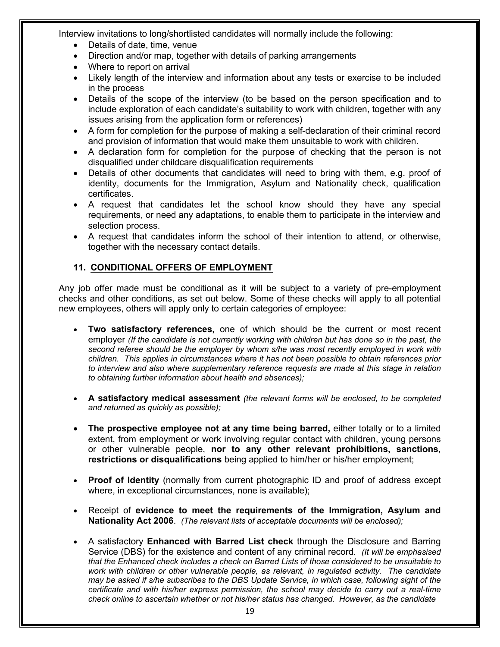Interview invitations to long/shortlisted candidates will normally include the following:

- Details of date, time, venue
- Direction and/or map, together with details of parking arrangements
- Where to report on arrival
- Likely length of the interview and information about any tests or exercise to be included in the process
- Details of the scope of the interview (to be based on the person specification and to include exploration of each candidate's suitability to work with children, together with any issues arising from the application form or references)
- A form for completion for the purpose of making a self-declaration of their criminal record and provision of information that would make them unsuitable to work with children.
- A declaration form for completion for the purpose of checking that the person is not disqualified under childcare disqualification requirements
- Details of other documents that candidates will need to bring with them, e.g. proof of identity, documents for the Immigration, Asylum and Nationality check, qualification certificates.
- A request that candidates let the school know should they have any special requirements, or need any adaptations, to enable them to participate in the interview and selection process.
- A request that candidates inform the school of their intention to attend, or otherwise, together with the necessary contact details.

#### **11. CONDITIONAL OFFERS OF EMPLOYMENT**

Any job offer made must be conditional as it will be subject to a variety of pre-employment checks and other conditions, as set out below. Some of these checks will apply to all potential new employees, others will apply only to certain categories of employee:

- **Two satisfactory references,** one of which should be the current or most recent employer *(If the candidate is not currently working with children but has done so in the past, the second referee should be the employer by whom s/he was most recently employed in work with children. This applies in circumstances where it has not been possible to obtain references prior to interview and also where supplementary reference requests are made at this stage in relation to obtaining further information about health and absences);*
- **A satisfactory medical assessment** *(the relevant forms will be enclosed, to be completed and returned as quickly as possible);*
- **The prospective employee not at any time being barred,** either totally or to a limited extent, from employment or work involving regular contact with children, young persons or other vulnerable people, **nor to any other relevant prohibitions, sanctions, restrictions or disqualifications** being applied to him/her or his/her employment;
- **Proof of Identity** (normally from current photographic ID and proof of address except where, in exceptional circumstances, none is available);
- Receipt of **evidence to meet the requirements of the Immigration, Asylum and Nationality Act 2006**. *(The relevant lists of acceptable documents will be enclosed);*
- A satisfactory **Enhanced with Barred List check** through the Disclosure and Barring Service (DBS) for the existence and content of any criminal record. *(It will be emphasised that the Enhanced check includes a check on Barred Lists of those considered to be unsuitable to work with children or other vulnerable people, as relevant, in regulated activity. The candidate may be asked if s/he subscribes to the DBS Update Service, in which case, following sight of the certificate and with his/her express permission, the school may decide to carry out a real-time check online to ascertain whether or not his/her status has changed. However, as the candidate*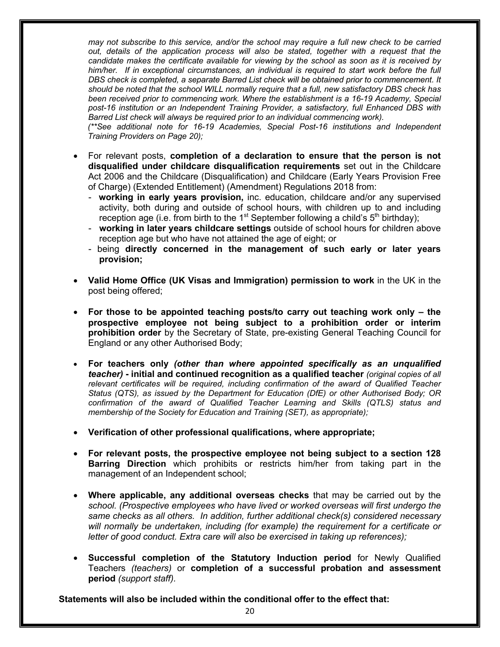*may not subscribe to this service, and/or the school may require a full new check to be carried out, details of the application process will also be stated, together with a request that the candidate makes the certificate available for viewing by the school as soon as it is received by*  him/her. If in exceptional circumstances, an individual is required to start work before the full *DBS check is completed, a separate Barred List check will be obtained prior to commencement. It should be noted that the school WILL normally require that a full, new satisfactory DBS check has been received prior to commencing work. Where the establishment is a 16-19 Academy, Special post-16 institution or an Independent Training Provider, a satisfactory, full Enhanced DBS with Barred List check will always be required prior to an individual commencing work).*

*(\*\*See additional note for 16-19 Academies, Special Post-16 institutions and Independent Training Providers on Page 20);*

- For relevant posts, **completion of a declaration to ensure that the person is not disqualified under childcare disqualification requirements** set out in the Childcare Act 2006 and the Childcare (Disqualification) and Childcare (Early Years Provision Free of Charge) (Extended Entitlement) (Amendment) Regulations 2018 from:
	- **working in early years provision,** inc. education, childcare and/or any supervised activity, both during and outside of school hours, with children up to and including reception age (i.e. from birth to the 1<sup>st</sup> September following a child's  $5<sup>th</sup>$  birthday);
	- **working in later years childcare settings** outside of school hours for children above reception age but who have not attained the age of eight; or
	- being **directly concerned in the management of such early or later years provision;**
- **Valid Home Office (UK Visas and Immigration) permission to work** in the UK in the post being offered;
- **For those to be appointed teaching posts/to carry out teaching work only – the prospective employee not being subject to a prohibition order or interim prohibition order** by the Secretary of State, pre-existing General Teaching Council for England or any other Authorised Body;
- **For teachers only** *(other than where appointed specifically as an unqualified teacher)* **- initial and continued recognition as a qualified teacher** *(original copies of all relevant certificates will be required, including confirmation of the award of Qualified Teacher Status (QTS), as issued by the Department for Education (DfE) or other Authorised Body; OR confirmation of the award of Qualified Teacher Learning and Skills (QTLS) status and membership of the Society for Education and Training (SET), as appropriate);*
- **Verification of other professional qualifications, where appropriate;**
- **For relevant posts, the prospective employee not being subject to a section 128 Barring Direction** which prohibits or restricts him/her from taking part in the management of an Independent school;
- **Where applicable, any additional overseas checks** that may be carried out by the *school. (Prospective employees who have lived or worked overseas will first undergo the same checks as all others. In addition, further additional check(s) considered necessary will normally be undertaken, including (for example) the requirement for a certificate or letter of good conduct. Extra care will also be exercised in taking up references);*
- **Successful completion of the Statutory Induction period** for Newly Qualified Teachers *(teachers)* or **completion of a successful probation and assessment period** *(support staff).*

**Statements will also be included within the conditional offer to the effect that:**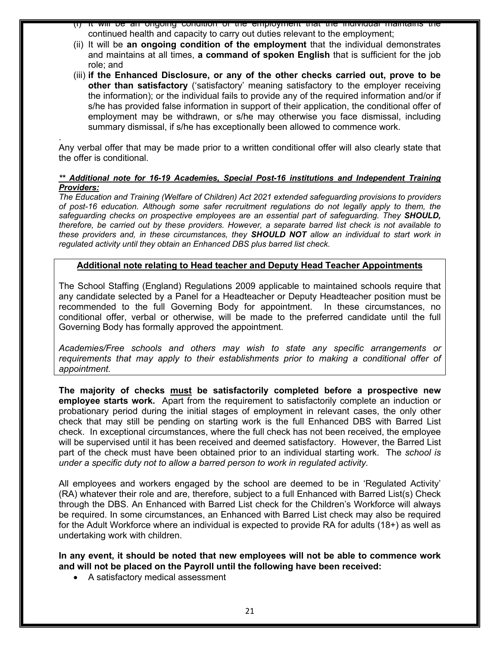- (i) It will be an ongoing condition of the employment that the individual maintains the continued health and capacity to carry out duties relevant to the employment;
- (ii) It will be **an ongoing condition of the employment** that the individual demonstrates and maintains at all times, **a command of spoken English** that is sufficient for the job role; and
- (iii) **if the Enhanced Disclosure, or any of the other checks carried out, prove to be other than satisfactory** ('satisfactory' meaning satisfactory to the employer receiving the information); or the individual fails to provide any of the required information and/or if s/he has provided false information in support of their application, the conditional offer of employment may be withdrawn, or s/he may otherwise you face dismissal, including summary dismissal, if s/he has exceptionally been allowed to commence work.

. Any verbal offer that may be made prior to a written conditional offer will also clearly state that the offer is conditional.

#### *\*\* Additional note for 16-19 Academies, Special Post-16 institutions and Independent Training Providers:*

*The Education and Training (Welfare of Children) Act 2021 extended safeguarding provisions to providers of post-16 education. Although some safer recruitment regulations do not legally apply to them, the safeguarding checks on prospective employees are an essential part of safeguarding. They SHOULD, therefore, be carried out by these providers. However, a separate barred list check is not available to these providers and, in these circumstances, they SHOULD NOT allow an individual to start work in regulated activity until they obtain an Enhanced DBS plus barred list check.* 

#### **Additional note relating to Head teacher and Deputy Head Teacher Appointments**

The School Staffing (England) Regulations 2009 applicable to maintained schools require that any candidate selected by a Panel for a Headteacher or Deputy Headteacher position must be recommended to the full Governing Body for appointment. In these circumstances, no conditional offer, verbal or otherwise, will be made to the preferred candidate until the full Governing Body has formally approved the appointment.

*Academies/Free schools and others may wish to state any specific arrangements or requirements that may apply to their establishments prior to making a conditional offer of appointment.* 

**The majority of checks must be satisfactorily completed before a prospective new employee starts work.** Apart from the requirement to satisfactorily complete an induction or probationary period during the initial stages of employment in relevant cases, the only other check that may still be pending on starting work is the full Enhanced DBS with Barred List check. In exceptional circumstances, where the full check has not been received, the employee will be supervised until it has been received and deemed satisfactory. However, the Barred List part of the check must have been obtained prior to an individual starting work. The *school is under a specific duty not to allow a barred person to work in regulated activity.*

All employees and workers engaged by the school are deemed to be in 'Regulated Activity' (RA) whatever their role and are, therefore, subject to a full Enhanced with Barred List(s) Check through the DBS. An Enhanced with Barred List check for the Children's Workforce will always be required. In some circumstances, an Enhanced with Barred List check may also be required for the Adult Workforce where an individual is expected to provide RA for adults (18+) as well as undertaking work with children.

**In any event, it should be noted that new employees will not be able to commence work and will not be placed on the Payroll until the following have been received:**

• A satisfactory medical assessment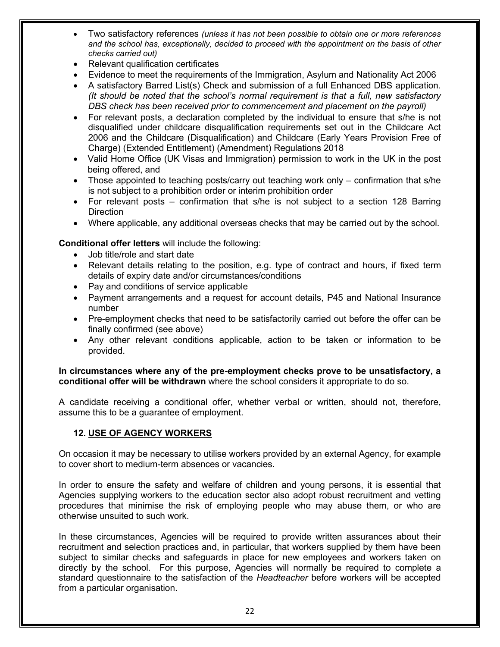- Two satisfactory references *(unless it has not been possible to obtain one or more references and the school has, exceptionally, decided to proceed with the appointment on the basis of other checks carried out)*
- Relevant qualification certificates
- Evidence to meet the requirements of the Immigration, Asylum and Nationality Act 2006
- A satisfactory Barred List(s) Check and submission of a full Enhanced DBS application. *(It should be noted that the school's normal requirement is that a full, new satisfactory DBS check has been received prior to commencement and placement on the payroll)*
- For relevant posts, a declaration completed by the individual to ensure that s/he is not disqualified under childcare disqualification requirements set out in the Childcare Act 2006 and the Childcare (Disqualification) and Childcare (Early Years Provision Free of Charge) (Extended Entitlement) (Amendment) Regulations 2018
- Valid Home Office (UK Visas and Immigration) permission to work in the UK in the post being offered, and
- Those appointed to teaching posts/carry out teaching work only confirmation that s/he is not subject to a prohibition order or interim prohibition order
- For relevant posts confirmation that s/he is not subject to a section 128 Barring **Direction**
- Where applicable, any additional overseas checks that may be carried out by the school*.*

**Conditional offer letters** will include the following:

- Job title/role and start date
- Relevant details relating to the position, e.g. type of contract and hours, if fixed term details of expiry date and/or circumstances/conditions
- Pay and conditions of service applicable
- Payment arrangements and a request for account details, P45 and National Insurance number
- Pre-employment checks that need to be satisfactorily carried out before the offer can be finally confirmed (see above)
- Any other relevant conditions applicable, action to be taken or information to be provided.

**In circumstances where any of the pre-employment checks prove to be unsatisfactory, a conditional offer will be withdrawn** where the school considers it appropriate to do so.

A candidate receiving a conditional offer, whether verbal or written, should not, therefore, assume this to be a guarantee of employment.

#### **12. USE OF AGENCY WORKERS**

On occasion it may be necessary to utilise workers provided by an external Agency, for example to cover short to medium-term absences or vacancies.

In order to ensure the safety and welfare of children and young persons, it is essential that Agencies supplying workers to the education sector also adopt robust recruitment and vetting procedures that minimise the risk of employing people who may abuse them, or who are otherwise unsuited to such work.

In these circumstances, Agencies will be required to provide written assurances about their recruitment and selection practices and, in particular, that workers supplied by them have been subject to similar checks and safeguards in place for new employees and workers taken on directly by the school.For this purpose, Agencies will normally be required to complete a standard questionnaire to the satisfaction of the *Headteacher* before workers will be accepted from a particular organisation.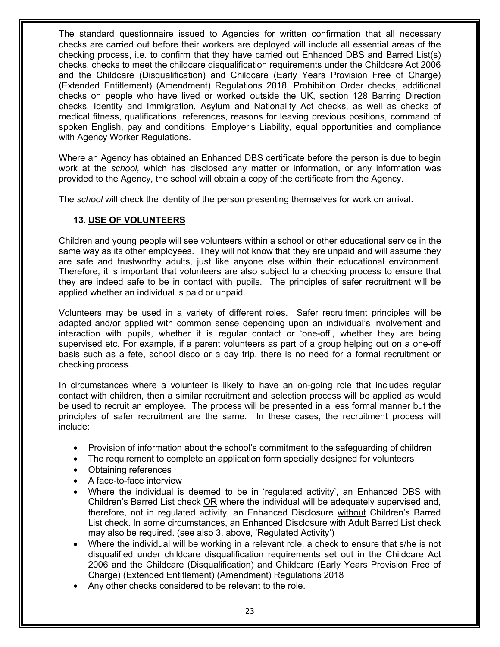The standard questionnaire issued to Agencies for written confirmation that all necessary checks are carried out before their workers are deployed will include all essential areas of the checking process, i.e. to confirm that they have carried out Enhanced DBS and Barred List(s) checks, checks to meet the childcare disqualification requirements under the Childcare Act 2006 and the Childcare (Disqualification) and Childcare (Early Years Provision Free of Charge) (Extended Entitlement) (Amendment) Regulations 2018, Prohibition Order checks, additional checks on people who have lived or worked outside the UK, section 128 Barring Direction checks, Identity and Immigration, Asylum and Nationality Act checks, as well as checks of medical fitness, qualifications, references, reasons for leaving previous positions, command of spoken English, pay and conditions, Employer's Liability, equal opportunities and compliance with Agency Worker Regulations.

Where an Agency has obtained an Enhanced DBS certificate before the person is due to begin work at the *school,* which has disclosed any matter or information, or any information was provided to the Agency, the school will obtain a copy of the certificate from the Agency.

The *school* will check the identity of the person presenting themselves for work on arrival.

#### **13. USE OF VOLUNTEERS**

Children and young people will see volunteers within a school or other educational service in the same way as its other employees. They will not know that they are unpaid and will assume they are safe and trustworthy adults, just like anyone else within their educational environment. Therefore, it is important that volunteers are also subject to a checking process to ensure that they are indeed safe to be in contact with pupils. The principles of safer recruitment will be applied whether an individual is paid or unpaid.

Volunteers may be used in a variety of different roles. Safer recruitment principles will be adapted and/or applied with common sense depending upon an individual's involvement and interaction with pupils, whether it is regular contact or 'one-off', whether they are being supervised etc. For example, if a parent volunteers as part of a group helping out on a one-off basis such as a fete, school disco or a day trip, there is no need for a formal recruitment or checking process.

In circumstances where a volunteer is likely to have an on-going role that includes regular contact with children, then a similar recruitment and selection process will be applied as would be used to recruit an employee. The process will be presented in a less formal manner but the principles of safer recruitment are the same. In these cases, the recruitment process will include:

- Provision of information about the school's commitment to the safeguarding of children
- The requirement to complete an application form specially designed for volunteers
- Obtaining references
- A face-to-face interview
- Where the individual is deemed to be in 'regulated activity', an Enhanced DBS with Children's Barred List check OR where the individual will be adequately supervised and, therefore, not in regulated activity, an Enhanced Disclosure without Children's Barred List check. In some circumstances, an Enhanced Disclosure with Adult Barred List check may also be required. (see also 3. above, 'Regulated Activity')
- Where the individual will be working in a relevant role, a check to ensure that s/he is not disqualified under childcare disqualification requirements set out in the Childcare Act 2006 and the Childcare (Disqualification) and Childcare (Early Years Provision Free of Charge) (Extended Entitlement) (Amendment) Regulations 2018
- Any other checks considered to be relevant to the role.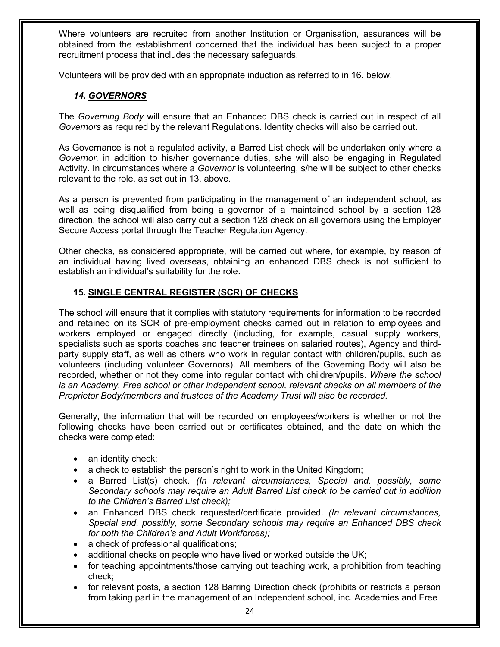Where volunteers are recruited from another Institution or Organisation, assurances will be obtained from the establishment concerned that the individual has been subject to a proper recruitment process that includes the necessary safeguards.

Volunteers will be provided with an appropriate induction as referred to in 16. below.

#### *14. GOVERNORS*

The *Governing Body* will ensure that an Enhanced DBS check is carried out in respect of all *Governors* as required by the relevant Regulations. Identity checks will also be carried out.

As Governance is not a regulated activity, a Barred List check will be undertaken only where a *Governor,* in addition to his/her governance duties, s/he will also be engaging in Regulated Activity. In circumstances where a *Governor* is volunteering, s/he will be subject to other checks relevant to the role, as set out in 13. above.

As a person is prevented from participating in the management of an independent school, as well as being disqualified from being a governor of a maintained school by a section 128 direction, the school will also carry out a section 128 check on all governors using the Employer Secure Access portal through the Teacher Regulation Agency.

Other checks, as considered appropriate, will be carried out where, for example, by reason of an individual having lived overseas, obtaining an enhanced DBS check is not sufficient to establish an individual's suitability for the role.

### **15. SINGLE CENTRAL REGISTER (SCR) OF CHECKS**

The school will ensure that it complies with statutory requirements for information to be recorded and retained on its SCR of pre-employment checks carried out in relation to employees and workers employed or engaged directly (including, for example, casual supply workers, specialists such as sports coaches and teacher trainees on salaried routes), Agency and thirdparty supply staff, as well as others who work in regular contact with children/pupils, such as volunteers (including volunteer Governors). All members of the Governing Body will also be recorded, whether or not they come into regular contact with children/pupils. *Where the school is an Academy, Free school or other independent school, relevant checks on all members of the Proprietor Body/members and trustees of the Academy Trust will also be recorded.*

Generally, the information that will be recorded on employees/workers is whether or not the following checks have been carried out or certificates obtained, and the date on which the checks were completed:

- an identity check;
- a check to establish the person's right to work in the United Kingdom;
- a Barred List(s) check. *(In relevant circumstances, Special and, possibly, some Secondary schools may require an Adult Barred List check to be carried out in addition to the Children's Barred List check);*
- an Enhanced DBS check requested/certificate provided. *(In relevant circumstances, Special and, possibly, some Secondary schools may require an Enhanced DBS check for both the Children's and Adult Workforces);*
- a check of professional qualifications;
- additional checks on people who have lived or worked outside the UK;
- for teaching appointments/those carrying out teaching work, a prohibition from teaching check;
- for relevant posts, a section 128 Barring Direction check (prohibits or restricts a person from taking part in the management of an Independent school, inc. Academies and Free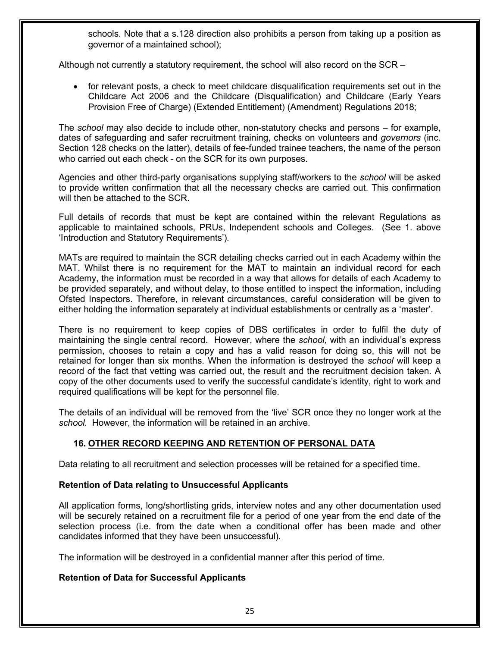schools. Note that a s.128 direction also prohibits a person from taking up a position as governor of a maintained school);

Although not currently a statutory requirement, the school will also record on the SCR –

• for relevant posts, a check to meet childcare disqualification requirements set out in the Childcare Act 2006 and the Childcare (Disqualification) and Childcare (Early Years Provision Free of Charge) (Extended Entitlement) (Amendment) Regulations 2018;

The *school* may also decide to include other, non-statutory checks and persons – for example, dates of safeguarding and safer recruitment training, checks on volunteers and *governors* (inc. Section 128 checks on the latter), details of fee-funded trainee teachers, the name of the person who carried out each check - on the SCR for its own purposes.

Agencies and other third-party organisations supplying staff/workers to the *school* will be asked to provide written confirmation that all the necessary checks are carried out. This confirmation will then be attached to the SCR.

Full details of records that must be kept are contained within the relevant Regulations as applicable to maintained schools, PRUs, Independent schools and Colleges. (See 1. above 'Introduction and Statutory Requirements')*.*

MATs are required to maintain the SCR detailing checks carried out in each Academy within the MAT. Whilst there is no requirement for the MAT to maintain an individual record for each Academy, the information must be recorded in a way that allows for details of each Academy to be provided separately, and without delay, to those entitled to inspect the information, including Ofsted Inspectors. Therefore, in relevant circumstances, careful consideration will be given to either holding the information separately at individual establishments or centrally as a 'master'.

There is no requirement to keep copies of DBS certificates in order to fulfil the duty of maintaining the single central record. However, where the *school,* with an individual's express permission, chooses to retain a copy and has a valid reason for doing so, this will not be retained for longer than six months. When the information is destroyed the *school* will keep a record of the fact that vetting was carried out, the result and the recruitment decision taken. A copy of the other documents used to verify the successful candidate's identity, right to work and required qualifications will be kept for the personnel file.

The details of an individual will be removed from the 'live' SCR once they no longer work at the *school.* However, the information will be retained in an archive.

### **16. OTHER RECORD KEEPING AND RETENTION OF PERSONAL DATA**

Data relating to all recruitment and selection processes will be retained for a specified time.

#### **Retention of Data relating to Unsuccessful Applicants**

All application forms, long/shortlisting grids, interview notes and any other documentation used will be securely retained on a recruitment file for a period of one year from the end date of the selection process (i.e. from the date when a conditional offer has been made and other candidates informed that they have been unsuccessful).

The information will be destroyed in a confidential manner after this period of time.

#### **Retention of Data for Successful Applicants**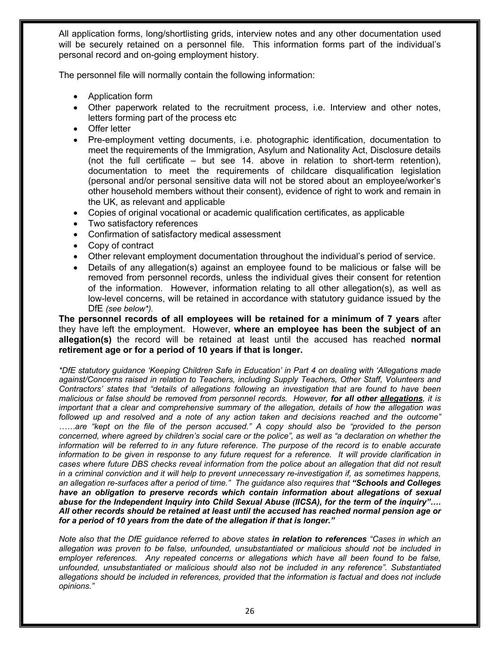All application forms, long/shortlisting grids, interview notes and any other documentation used will be securely retained on a personnel file. This information forms part of the individual's personal record and on-going employment history.

The personnel file will normally contain the following information:

- Application form
- Other paperwork related to the recruitment process, i.e. Interview and other notes, letters forming part of the process etc
- Offer letter
- Pre-employment vetting documents, i.e. photographic identification, documentation to meet the requirements of the Immigration, Asylum and Nationality Act, Disclosure details (not the full certificate – but see 14. above in relation to short-term retention), documentation to meet the requirements of childcare disqualification legislation (personal and/or personal sensitive data will not be stored about an employee/worker's other household members without their consent), evidence of right to work and remain in the UK, as relevant and applicable
- Copies of original vocational or academic qualification certificates, as applicable
- Two satisfactory references
- Confirmation of satisfactory medical assessment
- Copy of contract
- Other relevant employment documentation throughout the individual's period of service.
- Details of any allegation(s) against an employee found to be malicious or false will be removed from personnel records, unless the individual gives their consent for retention of the information. However, information relating to all other allegation(s), as well as low-level concerns, will be retained in accordance with statutory guidance issued by the DfE *(see below\*).*

#### **The personnel records of all employees will be retained for a minimum of 7 years** after they have left the employment. However, **where an employee has been the subject of an allegation(s)** the record will be retained at least until the accused has reached **normal retirement age or for a period of 10 years if that is longer.**

*\*DfE statutory guidance 'Keeping Children Safe in Education' in Part 4 on dealing with 'Allegations made against/Concerns raised in relation to Teachers, including Supply Teachers, Other Staff, Volunteers and Contractors' states that "details of allegations following an investigation that are found to have been malicious or false should be removed from personnel records. However, for all other allegations, it is important that a clear and comprehensive summary of the allegation, details of how the allegation was followed up and resolved and a note of any action taken and decisions reached and the outcome" ……are "kept on the file of the person accused." A copy should also be "provided to the person concerned, where agreed by children's social care or the police", as well as "a declaration on whether the information will be referred to in any future reference. The purpose of the record is to enable accurate information to be given in response to any future request for a reference. It will provide clarification in cases where future DBS checks reveal information from the police about an allegation that did not result in a criminal conviction and it will help to prevent unnecessary re-investigation if, as sometimes happens,*  an allegation re-surfaces after a period of time." The guidance also requires that "Schools and Colleges *have an obligation to preserve records which contain information about allegations of sexual abuse for the Independent Inquiry into Child Sexual Abuse (IICSA), for the term of the inquiry"…. All other records should be retained at least until the accused has reached normal pension age or for a period of 10 years from the date of the allegation if that is longer."* 

*Note also that the DfE guidance referred to above states in relation to references "Cases in which an allegation was proven to be false, unfounded, unsubstantiated or malicious should not be included in employer references. Any repeated concerns or allegations which have all been found to be false, unfounded, unsubstantiated or malicious should also not be included in any reference". Substantiated allegations should be included in references, provided that the information is factual and does not include opinions."*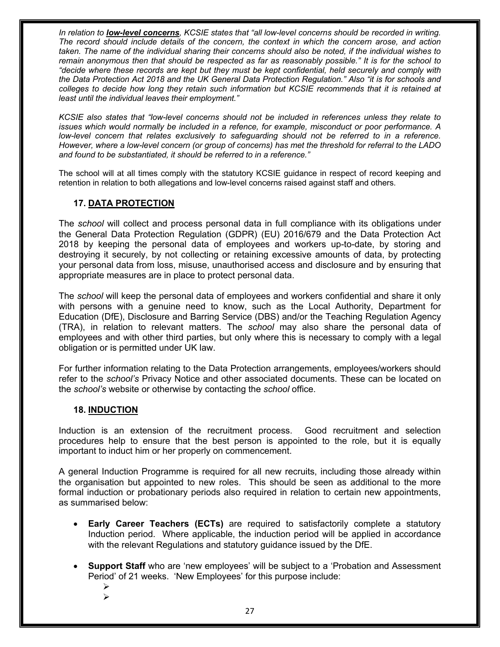*In relation to low-level concerns, KCSIE states that "all low-level concerns should be recorded in writing. The record should include details of the concern, the context in which the concern arose, and action taken. The name of the individual sharing their concerns should also be noted, if the individual wishes to remain anonymous then that should be respected as far as reasonably possible." It is for the school to "decide where these records are kept but they must be kept confidential, held securely and comply with the Data Protection Act 2018 and the UK General Data Protection Regulation." Also "it is for schools and colleges to decide how long they retain such information but KCSIE recommends that it is retained at least until the individual leaves their employment."*

*KCSIE also states that "low-level concerns should not be included in references unless they relate to issues which would normally be included in a refence, for example, misconduct or poor performance. A low-level concern that relates exclusively to safeguarding should not be referred to in a reference. However, where a low-level concern (or group of concerns) has met the threshold for referral to the LADO and found to be substantiated, it should be referred to in a reference."* 

The school will at all times comply with the statutory KCSIE guidance in respect of record keeping and retention in relation to both allegations and low-level concerns raised against staff and others.

#### **17. DATA PROTECTION**

The *school* will collect and process personal data in full compliance with its obligations under the General Data Protection Regulation (GDPR) (EU) 2016/679 and the Data Protection Act 2018 by keeping the personal data of employees and workers up-to-date, by storing and destroying it securely, by not collecting or retaining excessive amounts of data, by protecting your personal data from loss, misuse, unauthorised access and disclosure and by ensuring that appropriate measures are in place to protect personal data.

The *school* will keep the personal data of employees and workers confidential and share it only with persons with a genuine need to know, such as the Local Authority, Department for Education (DfE), Disclosure and Barring Service (DBS) and/or the Teaching Regulation Agency (TRA), in relation to relevant matters. The *school* may also share the personal data of employees and with other third parties, but only where this is necessary to comply with a legal obligation or is permitted under UK law.

For further information relating to the Data Protection arrangements, employees/workers should refer to the *school's* Privacy Notice and other associated documents. These can be located on the *school's* website or otherwise by contacting the *school* office.

#### **18. INDUCTION**

Induction is an extension of the recruitment process. Good recruitment and selection procedures help to ensure that the best person is appointed to the role, but it is equally important to induct him or her properly on commencement.

A general Induction Programme is required for all new recruits, including those already within the organisation but appointed to new roles. This should be seen as additional to the more formal induction or probationary periods also required in relation to certain new appointments, as summarised below:

- **Early Career Teachers (ECTs)** are required to satisfactorily complete a statutory Induction period. Where applicable, the induction period will be applied in accordance with the relevant Regulations and statutory guidance issued by the DfE.
- **Support Staff** who are 'new employees' will be subject to a 'Probation and Assessment Period' of 21 weeks. 'New Employees' for this purpose include:
	- Ø Ø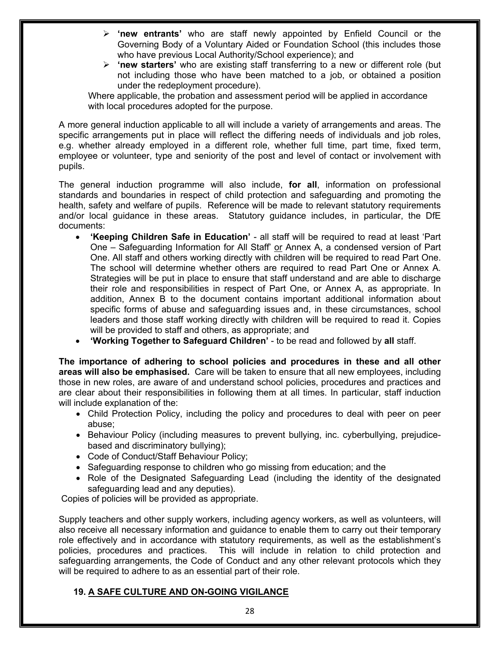- Ø **'new entrants'** who are staff newly appointed by Enfield Council or the Governing Body of a Voluntary Aided or Foundation School (this includes those who have previous Local Authority/School experience); and
- Ø **'new starters'** who are existing staff transferring to a new or different role (but not including those who have been matched to a job, or obtained a position under the redeployment procedure).

Where applicable, the probation and assessment period will be applied in accordance with local procedures adopted for the purpose.

A more general induction applicable to all will include a variety of arrangements and areas. The specific arrangements put in place will reflect the differing needs of individuals and job roles, e.g. whether already employed in a different role, whether full time, part time, fixed term, employee or volunteer, type and seniority of the post and level of contact or involvement with pupils.

The general induction programme will also include, **for all**, information on professional standards and boundaries in respect of child protection and safeguarding and promoting the health, safety and welfare of pupils. Reference will be made to relevant statutory requirements and/or local guidance in these areas. Statutory guidance includes, in particular, the DfE documents:

- **'Keeping Children Safe in Education'** all staff will be required to read at least 'Part One – Safeguarding Information for All Staff' or Annex A, a condensed version of Part One. All staff and others working directly with children will be required to read Part One. The school will determine whether others are required to read Part One or Annex A. Strategies will be put in place to ensure that staff understand and are able to discharge their role and responsibilities in respect of Part One, or Annex A, as appropriate. In addition, Annex B to the document contains important additional information about specific forms of abuse and safeguarding issues and, in these circumstances, school leaders and those staff working directly with children will be required to read it. Copies will be provided to staff and others, as appropriate; and
- **'Working Together to Safeguard Children'** to be read and followed by **all** staff.

**The importance of adhering to school policies and procedures in these and all other areas will also be emphasised.** Care will be taken to ensure that all new employees, including those in new roles, are aware of and understand school policies, procedures and practices and are clear about their responsibilities in following them at all times. In particular, staff induction will include explanation of the:

- Child Protection Policy, including the policy and procedures to deal with peer on peer abuse;
- Behaviour Policy (including measures to prevent bullying, inc. cyberbullying, prejudicebased and discriminatory bullying);
- Code of Conduct/Staff Behaviour Policy;
- Safeguarding response to children who go missing from education; and the
- Role of the Designated Safeguarding Lead (including the identity of the designated safeguarding lead and any deputies).

Copies of policies will be provided as appropriate.

Supply teachers and other supply workers, including agency workers, as well as volunteers, will also receive all necessary information and guidance to enable them to carry out their temporary role effectively and in accordance with statutory requirements, as well as the establishment's policies, procedures and practices. This will include in relation to child protection and safeguarding arrangements, the Code of Conduct and any other relevant protocols which they will be required to adhere to as an essential part of their role.

#### **19. A SAFE CULTURE AND ON-GOING VIGILANCE**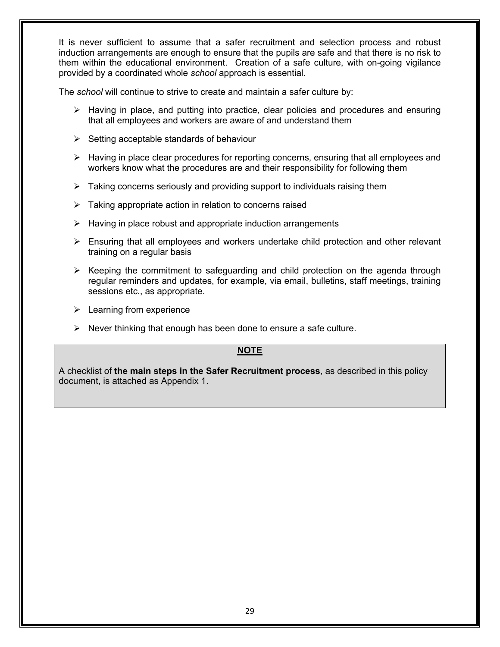It is never sufficient to assume that a safer recruitment and selection process and robust induction arrangements are enough to ensure that the pupils are safe and that there is no risk to them within the educational environment. Creation of a safe culture, with on-going vigilance provided by a coordinated whole *school* approach is essential.

The *school* will continue to strive to create and maintain a safer culture by:

- $\triangleright$  Having in place, and putting into practice, clear policies and procedures and ensuring that all employees and workers are aware of and understand them
- $\triangleright$  Setting acceptable standards of behaviour
- $\triangleright$  Having in place clear procedures for reporting concerns, ensuring that all employees and workers know what the procedures are and their responsibility for following them
- $\triangleright$  Taking concerns seriously and providing support to individuals raising them
- $\triangleright$  Taking appropriate action in relation to concerns raised
- $\triangleright$  Having in place robust and appropriate induction arrangements
- $\triangleright$  Ensuring that all employees and workers undertake child protection and other relevant training on a regular basis
- $\triangleright$  Keeping the commitment to safeguarding and child protection on the agenda through regular reminders and updates, for example, via email, bulletins, staff meetings, training sessions etc., as appropriate.
- $\triangleright$  Learning from experience
- $\triangleright$  Never thinking that enough has been done to ensure a safe culture.

### **NOTE**

A checklist of **the main steps in the Safer Recruitment process**, as described in this policy document, is attached as Appendix 1.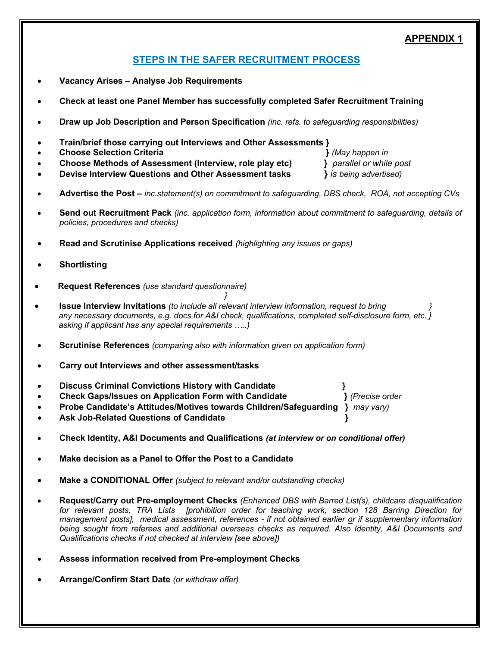### **APPENDIX 1**

# **STEPS IN THE SAFER RECRUITMENT PROCESS**

- **Vacancy Arises – Analyse Job Requirements**
- **Check at least one Panel Member has successfully completed Safer Recruitment Training**
- **Draw up Job Description and Person Specification** *(inc. refs. to safeguarding responsibilities)*
- **Train/brief those carrying out Interviews and Other Assessments }**
- • **Choose Selection Criteria }** *(May happen in*
- **Choose Methods of Assessment (Interview, role play etc) }** *parallel or while post*
- **Devise Interview Questions and Other Assessment tasks }** *is being advertised)*
- **Advertise the Post –** *inc.statement(s) on commitment to safeguarding, DBS check, ROA, not accepting CVs*
- **Send out Recruitment Pack** *(inc. application form, information about commitment to safeguarding, details of policies, procedures and checks)*
- **Read and Scrutinise Applications received** *(highlighting any issues or gaps)*
- **Shortlisting**
- **Request References** *(use standard questionnaire) }*
- • **Issue Interview Invitations** *(to include all relevant interview information, request to bring } any necessary documents, e.g. docs for A&I check, qualifications, completed self-disclosure form, etc. } asking if applicant has any special requirements …..)*
- **Scrutinise References** *(comparing also with information given on application form)*
- **Carry out Interviews and other assessment/tasks**
- **Discuss Criminal Convictions History with Candidate }**
- **Check Gaps/Issues on Application Form with Candidate }** *(Precise order*
- **Probe Candidate's Attitudes/Motives towards Children/Safeguarding }** *may vary)*
- **Ask Job-Related Questions of Candidate }**
- **Check Identity, A&I Documents and Qualifications** *(at interview or on conditional offer)*
- **Make decision as a Panel to Offer the Post to a Candidate**
- **Make a CONDITIONAL Offer** *(subject to relevant and/or outstanding checks)*
- **Request/Carry out Pre-employment Checks** *(Enhanced DBS with Barred List(s), childcare disqualification for relevant posts, TRA Lists [prohibition order for teaching work, section 128 Barring Direction for management posts], medical assessment, references - if not obtained earlier or if supplementary information being sought from referees and additional overseas checks as required. Also Identity, A&I Documents and Qualifications checks if not checked at interview [see above])*
- **Assess information received from Pre-employment Checks**
- **Arrange/Confirm Start Date** *(or withdraw offer)*